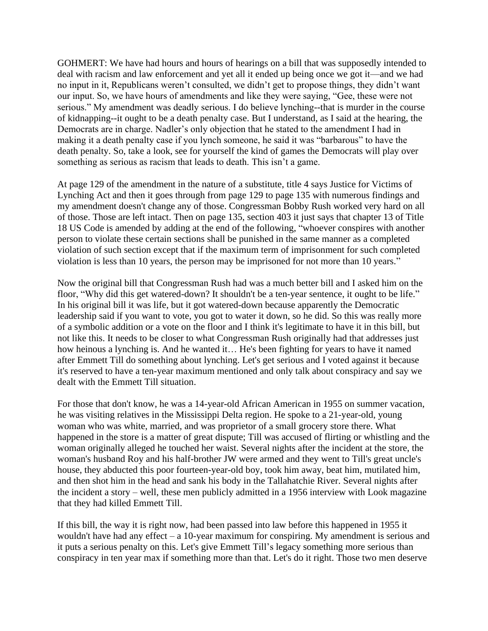GOHMERT: We have had hours and hours of hearings on a bill that was supposedly intended to deal with racism and law enforcement and yet all it ended up being once we got it—and we had no input in it, Republicans weren't consulted, we didn't get to propose things, they didn't want our input. So, we have hours of amendments and like they were saying, "Gee, these were not serious." My amendment was deadly serious. I do believe lynching--that is murder in the course of kidnapping--it ought to be a death penalty case. But I understand, as I said at the hearing, the Democrats are in charge. Nadler's only objection that he stated to the amendment I had in making it a death penalty case if you lynch someone, he said it was "barbarous" to have the death penalty. So, take a look, see for yourself the kind of games the Democrats will play over something as serious as racism that leads to death. This isn't a game.

At page 129 of the amendment in the nature of a substitute, title 4 says Justice for Victims of Lynching Act and then it goes through from page 129 to page 135 with numerous findings and my amendment doesn't change any of those. Congressman Bobby Rush worked very hard on all of those. Those are left intact. Then on page 135, section 403 it just says that chapter 13 of Title 18 US Code is amended by adding at the end of the following, "whoever conspires with another person to violate these certain sections shall be punished in the same manner as a completed violation of such section except that if the maximum term of imprisonment for such completed violation is less than 10 years, the person may be imprisoned for not more than 10 years."

Now the original bill that Congressman Rush had was a much better bill and I asked him on the floor, "Why did this get watered-down? It shouldn't be a ten-year sentence, it ought to be life." In his original bill it was life, but it got watered-down because apparently the Democratic leadership said if you want to vote, you got to water it down, so he did. So this was really more of a symbolic addition or a vote on the floor and I think it's legitimate to have it in this bill, but not like this. It needs to be closer to what Congressman Rush originally had that addresses just how heinous a lynching is. And he wanted it… He's been fighting for years to have it named after Emmett Till do something about lynching. Let's get serious and I voted against it because it's reserved to have a ten-year maximum mentioned and only talk about conspiracy and say we dealt with the Emmett Till situation.

For those that don't know, he was a 14-year-old African American in 1955 on summer vacation, he was visiting relatives in the Mississippi Delta region. He spoke to a 21-year-old, young woman who was white, married, and was proprietor of a small grocery store there. What happened in the store is a matter of great dispute; Till was accused of flirting or whistling and the woman originally alleged he touched her waist. Several nights after the incident at the store, the woman's husband Roy and his half-brother JW were armed and they went to Till's great uncle's house, they abducted this poor fourteen-year-old boy, took him away, beat him, mutilated him, and then shot him in the head and sank his body in the Tallahatchie River. Several nights after the incident a story – well, these men publicly admitted in a 1956 interview with Look magazine that they had killed Emmett Till.

If this bill, the way it is right now, had been passed into law before this happened in 1955 it wouldn't have had any effect – a 10-year maximum for conspiring. My amendment is serious and it puts a serious penalty on this. Let's give Emmett Till's legacy something more serious than conspiracy in ten year max if something more than that. Let's do it right. Those two men deserve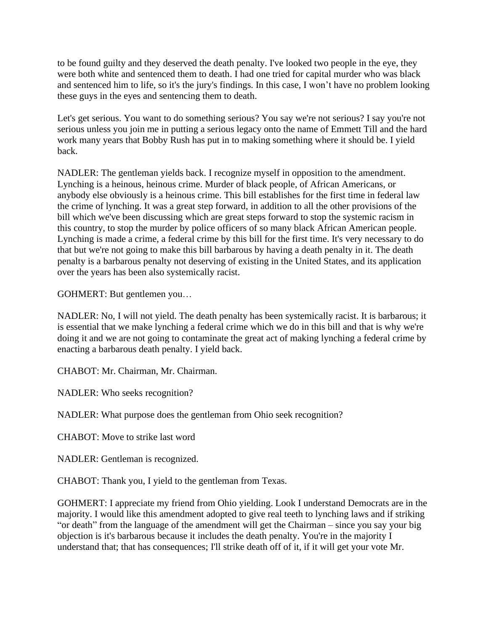to be found guilty and they deserved the death penalty. I've looked two people in the eye, they were both white and sentenced them to death. I had one tried for capital murder who was black and sentenced him to life, so it's the jury's findings. In this case, I won't have no problem looking these guys in the eyes and sentencing them to death.

Let's get serious. You want to do something serious? You say we're not serious? I say you're not serious unless you join me in putting a serious legacy onto the name of Emmett Till and the hard work many years that Bobby Rush has put in to making something where it should be. I yield back.

NADLER: The gentleman yields back. I recognize myself in opposition to the amendment. Lynching is a heinous, heinous crime. Murder of black people, of African Americans, or anybody else obviously is a heinous crime. This bill establishes for the first time in federal law the crime of lynching. It was a great step forward, in addition to all the other provisions of the bill which we've been discussing which are great steps forward to stop the systemic racism in this country, to stop the murder by police officers of so many black African American people. Lynching is made a crime, a federal crime by this bill for the first time. It's very necessary to do that but we're not going to make this bill barbarous by having a death penalty in it. The death penalty is a barbarous penalty not deserving of existing in the United States, and its application over the years has been also systemically racist.

GOHMERT: But gentlemen you…

NADLER: No, I will not yield. The death penalty has been systemically racist. It is barbarous; it is essential that we make lynching a federal crime which we do in this bill and that is why we're doing it and we are not going to contaminate the great act of making lynching a federal crime by enacting a barbarous death penalty. I yield back.

CHABOT: Mr. Chairman, Mr. Chairman.

NADLER: Who seeks recognition?

NADLER: What purpose does the gentleman from Ohio seek recognition?

CHABOT: Move to strike last word

NADLER: Gentleman is recognized.

CHABOT: Thank you, I yield to the gentleman from Texas.

GOHMERT: I appreciate my friend from Ohio yielding. Look I understand Democrats are in the majority. I would like this amendment adopted to give real teeth to lynching laws and if striking "or death" from the language of the amendment will get the Chairman – since you say your big objection is it's barbarous because it includes the death penalty. You're in the majority I understand that; that has consequences; I'll strike death off of it, if it will get your vote Mr.